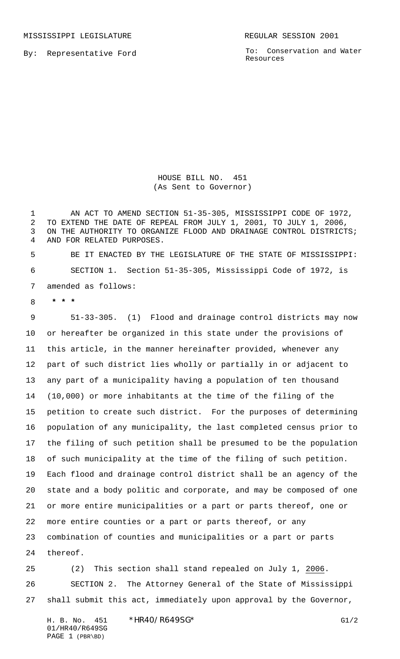MISSISSIPPI LEGISLATURE **REGULAR SESSION 2001** 

By: Representative Ford

To: Conservation and Water Resources

HOUSE BILL NO. 451 (As Sent to Governor)

1 AN ACT TO AMEND SECTION 51-35-305, MISSISSIPPI CODE OF 1972, TO EXTEND THE DATE OF REPEAL FROM JULY 1, 2001, TO JULY 1, 2006, ON THE AUTHORITY TO ORGANIZE FLOOD AND DRAINAGE CONTROL DISTRICTS; AND FOR RELATED PURPOSES.

 BE IT ENACTED BY THE LEGISLATURE OF THE STATE OF MISSISSIPPI: SECTION 1. Section 51-35-305, Mississippi Code of 1972, is amended as follows:

 **\* \* \***

 51-33-305. (1) Flood and drainage control districts may now or hereafter be organized in this state under the provisions of this article, in the manner hereinafter provided, whenever any part of such district lies wholly or partially in or adjacent to any part of a municipality having a population of ten thousand (10,000) or more inhabitants at the time of the filing of the petition to create such district. For the purposes of determining population of any municipality, the last completed census prior to the filing of such petition shall be presumed to be the population of such municipality at the time of the filing of such petition. Each flood and drainage control district shall be an agency of the state and a body politic and corporate, and may be composed of one or more entire municipalities or a part or parts thereof, one or more entire counties or a part or parts thereof, or any combination of counties and municipalities or a part or parts thereof.

 (2) This section shall stand repealed on July 1, 2006. SECTION 2. The Attorney General of the State of Mississippi shall submit this act, immediately upon approval by the Governor,

H. B. No. 451 \*HR40/R649SG\* G1/2 01/HR40/R649SG PAGE 1 (PBR\BD)